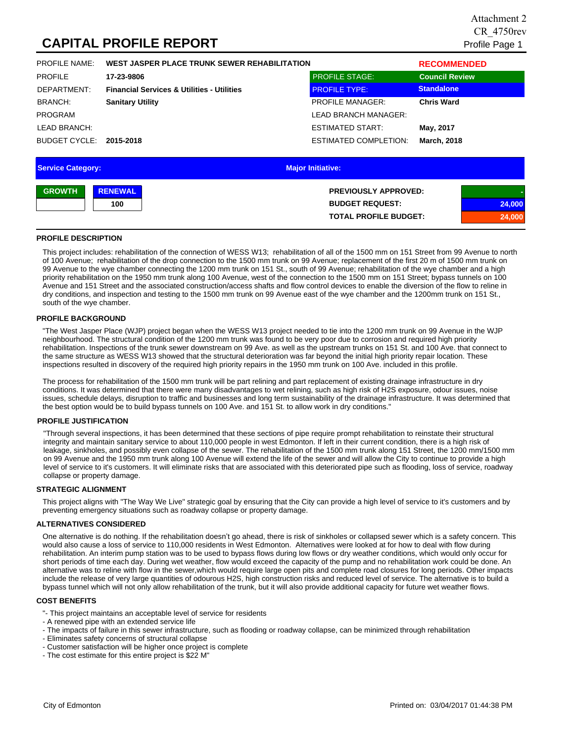# **CAPITAL PROFILE REPORT**

| <b>PROFILE NAME:</b>     | WEST JASPER PLACE TRUNK SEWER REHABILITATION          |                              | <b>RECOMMENDED</b>    |
|--------------------------|-------------------------------------------------------|------------------------------|-----------------------|
| <b>PROFILE</b>           | 17-23-9806                                            | <b>PROFILE STAGE:</b>        | <b>Council Review</b> |
| DEPARTMENT:              | <b>Financial Services &amp; Utilities - Utilities</b> | <b>PROFILE TYPE:</b>         | <b>Standalone</b>     |
| <b>BRANCH:</b>           | <b>Sanitary Utility</b>                               | <b>PROFILE MANAGER:</b>      | <b>Chris Ward</b>     |
| <b>PROGRAM</b>           |                                                       | LEAD BRANCH MANAGER:         |                       |
| <b>LEAD BRANCH:</b>      |                                                       | <b>ESTIMATED START:</b>      | May, 2017             |
| BUDGET CYCLE:            | 2015-2018                                             | <b>ESTIMATED COMPLETION:</b> | <b>March, 2018</b>    |
|                          |                                                       |                              |                       |
| <b>Service Category:</b> |                                                       | <b>Major Initiative:</b>     |                       |

| <b>GROWTH</b> | <b>RENEWAL</b> | <b>PREVIOUSLY APPROVED:</b>  |        |
|---------------|----------------|------------------------------|--------|
|               | 100            | <b>BUDGET REQUEST:</b>       | 24,000 |
|               |                | <b>TOTAL PROFILE BUDGET:</b> | 24,000 |

## **PROFILE DESCRIPTION**

This project includes: rehabilitation of the connection of WESS W13; rehabilitation of all of the 1500 mm on 151 Street from 99 Avenue to north of 100 Avenue; rehabilitation of the drop connection to the 1500 mm trunk on 99 Avenue; replacement of the first 20 m of 1500 mm trunk on 99 Avenue to the wye chamber connecting the 1200 mm trunk on 151 St., south of 99 Avenue; rehabilitation of the wye chamber and a high priority rehabilitation on the 1950 mm trunk along 100 Avenue, west of the connection to the 1500 mm on 151 Street; bypass tunnels on 100 Avenue and 151 Street and the associated construction/access shafts and flow control devices to enable the diversion of the flow to reline in dry conditions, and inspection and testing to the 1500 mm trunk on 99 Avenue east of the wye chamber and the 1200mm trunk on 151 St., south of the wye chamber.

## **PROFILE BACKGROUND**

"The West Jasper Place (WJP) project began when the WESS W13 project needed to tie into the 1200 mm trunk on 99 Avenue in the WJP neighbourhood. The structural condition of the 1200 mm trunk was found to be very poor due to corrosion and required high priority rehabilitation. Inspections of the trunk sewer downstream on 99 Ave. as well as the upstream trunks on 151 St. and 100 Ave. that connect to the same structure as WESS W13 showed that the structural deterioration was far beyond the initial high priority repair location. These inspections resulted in discovery of the required high priority repairs in the 1950 mm trunk on 100 Ave. included in this profile.

The process for rehabilitation of the 1500 mm trunk will be part relining and part replacement of existing drainage infrastructure in dry conditions. It was determined that there were many disadvantages to wet relining, such as high risk of H2S exposure, odour issues, noise issues, schedule delays, disruption to traffic and businesses and long term sustainability of the drainage infrastructure. It was determined that the best option would be to build bypass tunnels on 100 Ave. and 151 St. to allow work in dry conditions."

### **PROFILE JUSTIFICATION**

"Through several inspections, it has been determined that these sections of pipe require prompt rehabilitation to reinstate their structural integrity and maintain sanitary service to about 110,000 people in west Edmonton. If left in their current condition, there is a high risk of leakage, sinkholes, and possibly even collapse of the sewer. The rehabilitation of the 1500 mm trunk along 151 Street, the 1200 mm/1500 mm on 99 Avenue and the 1950 mm trunk along 100 Avenue will extend the life of the sewer and will allow the City to continue to provide a high level of service to it's customers. It will eliminate risks that are associated with this deteriorated pipe such as flooding, loss of service, roadway collapse or property damage.

### **STRATEGIC ALIGNMENT**

This project aligns with "The Way We Live" strategic goal by ensuring that the City can provide a high level of service to it's customers and by preventing emergency situations such as roadway collapse or property damage.

### **ALTERNATIVES CONSIDERED**

One alternative is do nothing. If the rehabilitation doesn't go ahead, there is risk of sinkholes or collapsed sewer which is a safety concern. This would also cause a loss of service to 110,000 residents in West Edmonton. Alternatives were looked at for how to deal with flow during rehabilitation. An interim pump station was to be used to bypass flows during low flows or dry weather conditions, which would only occur for short periods of time each day. During wet weather, flow would exceed the capacity of the pump and no rehabilitation work could be done. An alternative was to reline with flow in the sewer,which would require large open pits and complete road closures for long periods. Other impacts include the release of very large quantities of odourous H2S, high construction risks and reduced level of service. The alternative is to build a bypass tunnel which will not only allow rehabilitation of the trunk, but it will also provide additional capacity for future wet weather flows.

### **COST BENEFITS**

- "- This project maintains an acceptable level of service for residents
- A renewed pipe with an extended service life
- The impacts of failure in this sewer infrastructure, such as flooding or roadway collapse, can be minimized through rehabilitation
- Eliminates safety concerns of structural collapse
- Customer satisfaction will be higher once project is complete
- The cost estimate for this entire project is \$22 M"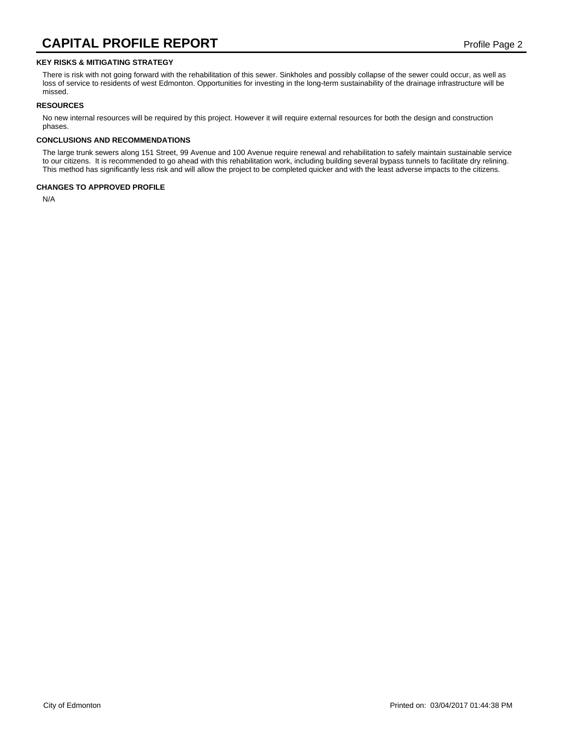## **KEY RISKS & MITIGATING STRATEGY**

There is risk with not going forward with the rehabilitation of this sewer. Sinkholes and possibly collapse of the sewer could occur, as well as loss of service to residents of west Edmonton. Opportunities for investing in the long-term sustainability of the drainage infrastructure will be missed.

## **RESOURCES**

No new internal resources will be required by this project. However it will require external resources for both the design and construction phases.

### **CONCLUSIONS AND RECOMMENDATIONS**

The large trunk sewers along 151 Street, 99 Avenue and 100 Avenue require renewal and rehabilitation to safely maintain sustainable service to our citizens. It is recommended to go ahead with this rehabilitation work, including building several bypass tunnels to facilitate dry relining. This method has significantly less risk and will allow the project to be completed quicker and with the least adverse impacts to the citizens.

## **CHANGES TO APPROVED PROFILE**

N/A